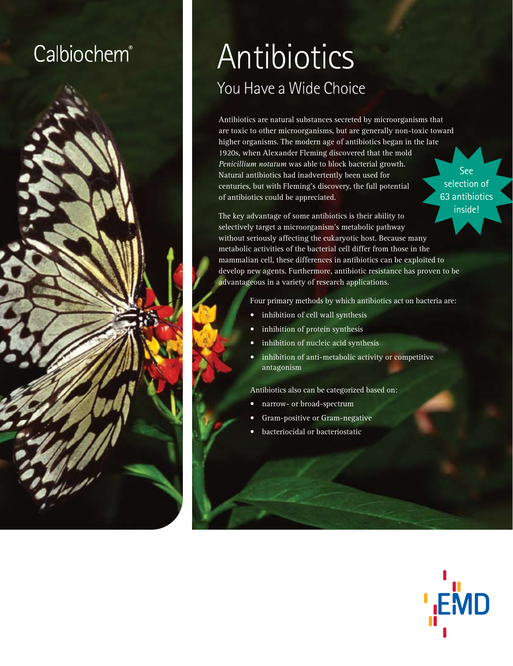## **Calbiochem®**



# **Antibiotics** You Have a Wide Choice

Antibiotics are natural substances secreted by microorganisms that are toxic to other microorganisms, but are generally non-toxic toward higher organisms. The modern age of antibiotics began in the late 1920s, when Alexander Fleming discovered that the mold *Penicillium notatum* was able to block bacterial growth. Natural antibiotics had inadvertently been used for centuries, but with Fleming's discovery, the full potential of antibiotics could be appreciated.

See selection of 63 antibiotics inside!

The key advantage of some antibiotics is their ability to selectively target a microorganism's metabolic pathway without seriously affecting the eukaryotic host. Because many metabolic activities of the bacterial cell differ from those in the mammalian cell, these differences in antibiotics can be exploited to develop new agents. Furthermore, antibiotic resistance has proven to be advantageous in a variety of research applications.

Four primary methods by which antibiotics act on bacteria are:

- inhibition of cell wall synthesis
- inhibition of protein synthesis
- inhibition of nucleic acid synthesis
- inhibition of anti-metabolic activity or competitive antagonism

Antibiotics also can be categorized based on:

- narrow- or broad-spectrum
- Gram-positive or Gram-negative
- bacteriocidal or bacteriostatic

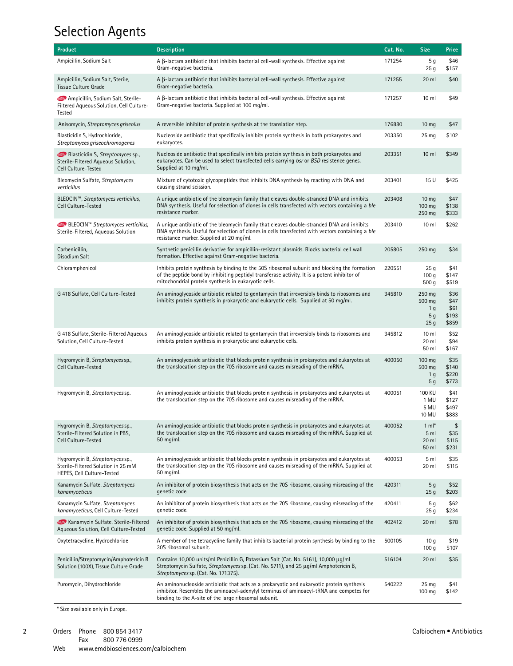#### Selection Agents

| <b>Product</b>                                                                                           | <b>Description</b>                                                                                                                                                                                                                                    | Cat. No. | <b>Size</b>                                                             | Price                                  |
|----------------------------------------------------------------------------------------------------------|-------------------------------------------------------------------------------------------------------------------------------------------------------------------------------------------------------------------------------------------------------|----------|-------------------------------------------------------------------------|----------------------------------------|
| Ampicillin, Sodium Salt                                                                                  | $A \beta$ -lactam antibiotic that inhibits bacterial cell-wall synthesis. Effective against<br>Gram-negative bacteria.                                                                                                                                | 171254   | 5 g<br>25 <sub>g</sub>                                                  | \$46<br>\$157                          |
| Ampicillin, Sodium Salt, Sterile,<br><b>Tissue Culture Grade</b>                                         | $A \beta$ -lactam antibiotic that inhibits bacterial cell-wall synthesis. Effective against<br>Gram-negative bacteria.                                                                                                                                | 171255   | 20 ml                                                                   | \$40                                   |
| <b>NEW</b> Ampicillin, Sodium Salt, Sterile-<br>Filtered Aqueous Solution, Cell Culture-<br>Tested       | $A \beta$ -lactam antibiotic that inhibits bacterial cell-wall synthesis. Effective against<br>Gram-negative bacteria. Supplied at 100 mg/ml.                                                                                                         | 171257   | $10 \mathrm{m}$                                                         | \$49                                   |
| Anisomycin, Streptomyces griseolus                                                                       | A reversible inhibitor of protein synthesis at the translation step.                                                                                                                                                                                  | 176880   | 10 <sub>mg</sub>                                                        | \$47                                   |
| Blasticidin S, Hydrochloride,<br>Streptomyces griseochromogenes                                          | Nucleoside antibiotic that specifically inhibits protein synthesis in both prokaryotes and<br>eukaryotes.                                                                                                                                             | 203350   | 25 <sub>mg</sub>                                                        | \$102                                  |
| <b>NEW</b> Blasticidin S, Streptomyces sp.,<br>Sterile-Filtered Aqueous Solution,<br>Cell Culture-Tested | Nucleoside antibiotic that specifically inhibits protein synthesis in both prokaryotes and<br>eukaryotes. Can be used to select transfected cells carrying bsr or BSD resistence genes.<br>Supplied at 10 mg/ml.                                      | 203351   | $10 \mathrm{m}$                                                         | \$349                                  |
| Bleomycin Sulfate, Streptomyces<br>verticillus                                                           | Mixture of cytotoxic glycopeptides that inhibits DNA synthesis by reacting with DNA and<br>causing strand scission.                                                                                                                                   | 203401   | 15U                                                                     | \$425                                  |
| BLEOCIN™, Streptomyces verticillus,<br>Cell Culture-Tested                                               | A unique antibiotic of the bleomycin family that cleaves double-stranded DNA and inhibits<br>DNA synthesis. Useful for selection of clones in cells transfected with vectors containing a ble<br>resistance marker.                                   | 203408   | 10 <sub>mg</sub><br>100 mg<br>250 mg                                    | \$47<br>\$138<br>\$333                 |
| <b>NEW</b> BLEOCIN <sup>™</sup> Streptomyces verticillus,<br>Sterile-Filtered, Aqueous Solution          | A unique antibiotic of the bleomycin family that cleaves double-stranded DNA and inhibits<br>DNA synthesis. Useful for selection of clones in cells transfected with vectors containing a ble<br>resistance marker. Supplied at 20 mg/ml.             | 203410   | 10 <sub>m</sub>                                                         | \$262                                  |
| Carbenicillin,<br>Disodium Salt                                                                          | Synthetic penicillin derivative for ampicillin-resistant plasmids. Blocks bacterial cell wall<br>formation. Effective against Gram-negative bacteria.                                                                                                 | 205805   | 250 mg                                                                  | \$34                                   |
| Chloramphenicol                                                                                          | Inhibits protein synthesis by binding to the 50S ribosomal subunit and blocking the formation<br>of the peptide bond by inhibiting peptidyl transferase activity. It is a potent inhibitor of<br>mitochondrial protein synthesis in eukaryotic cells. | 220551   | 25g<br>100q<br>500q                                                     | \$41<br>\$147<br>\$519                 |
| G 418 Sulfate, Cell Culture-Tested                                                                       | An aminoglycoside antibiotic related to gentamycin that irreversibly binds to ribosomes and<br>inhibits protein synthesis in prokaryotic and eukaryotic cells. Supplied at 50 mg/ml.                                                                  | 345810   | 250 mg<br>500 mg<br>1 <sub>q</sub><br>5 <sub>g</sub><br>25 <sub>g</sub> | \$36<br>\$47<br>\$61<br>\$193<br>\$859 |
| G 418 Sulfate, Sterile-Filtered Aqueous<br>Solution, Cell Culture-Tested                                 | An aminoglycoside antibiotic related to gentamycin that irreversibly binds to ribosomes and<br>inhibits protein synthesis in prokaryotic and eukaryotic cells.                                                                                        | 345812   | 10 <sub>m</sub><br>20 ml<br>50 ml                                       | \$52<br>\$94<br>\$167                  |
| Hygromycin B, Streptomyces sp.,<br>Cell Culture-Tested                                                   | An aminoglycoside antibiotic that blocks protein synthesis in prokaryotes and eukaryotes at<br>the translocation step on the 70S ribosome and causes misreading of the mRNA.                                                                          | 400050   | 100 mg<br>500 mg<br>1 <sub>g</sub><br>5 <sub>g</sub>                    | \$35<br>\$140<br>\$220<br>\$773        |
| Hygromycin B, Streptomyces sp.                                                                           | An aminoqlycoside antibiotic that blocks protein synthesis in prokaryotes and eukaryotes at<br>the translocation step on the 70S ribosome and causes misreading of the mRNA.                                                                          | 400051   | 100 KU<br>1 MU<br>5 MU<br>10 MU                                         | \$41<br>\$127<br>\$497<br>\$883        |
| Hygromycin B, Streptomyces sp.,<br>Sterile-Filtered Solution in PBS,<br>Cell Culture-Tested              | An aminoglycoside antibiotic that blocks protein synthesis in prokaryotes and eukaryotes at<br>the translocation step on the 70S ribosome and causes misreading of the mRNA. Supplied at<br>50 mg/ml.                                                 | 400052   | $1 \text{ ml}^*$<br>5 ml<br>20 ml<br>50 ml                              | \$<br>\$35<br>\$115<br>\$231           |
| Hygromycin B, Streptomyces sp.,<br>Sterile-Filtered Solution in 25 mM<br>HEPES, Cell Culture-Tested      | An aminoglycoside antibiotic that blocks protein synthesis in prokaryotes and eukaryotes at<br>the translocation step on the 70S ribosome and causes misreading of the mRNA. Supplied at<br>50 mg/ml.                                                 | 400053   | 5 ml<br>20 ml                                                           | \$35<br>\$115                          |
| Kanamycin Sulfate, Streptomyces<br>kanamyceticus                                                         | An inhibitor of protein biosynthesis that acts on the 70S ribosome, causing misreading of the<br>genetic code.                                                                                                                                        | 420311   | 5 g<br>25 <sub>g</sub>                                                  | \$52<br>\$203                          |
| Kanamycin Sulfate, Streptomyces<br>kanamyceticus, Cell Culture-Tested                                    | An inhibitor of protein biosynthesis that acts on the 70S ribosome, causing misreading of the<br>genetic code.                                                                                                                                        | 420411   | 5 g<br>25 <sub>g</sub>                                                  | \$62<br>\$234                          |
| <b>NEW</b> Kanamycin Sulfate, Sterile-Filtered<br>Aqueous Solution, Cell Culture-Tested                  | An inhibitor of protein biosynthesis that acts on the 70S ribosome, causing misreading of the<br>genetic code. Supplied at 50 mg/ml.                                                                                                                  | 402412   | 20 ml                                                                   | \$78                                   |
| Oxytetracycline, Hydrochloride                                                                           | A member of the tetracycline family that inhibits bacterial protein synthesis by binding to the<br>30S ribosomal subunit.                                                                                                                             | 500105   | 10 <sub>g</sub><br>100q                                                 | \$19<br>\$107                          |
| Penicillin/Streptomycin/Amphotericin B<br>Solution (100X), Tissue Culture Grade                          | Contains 10,000 units/ml Penicillin G, Potassium Salt (Cat. No. 5161), 10,000 μg/ml<br>Streptomycin Sulfate, Streptomyces sp. (Cat. No. 5711), and 25 µg/ml Amphotericin B,<br>Streptomyces sp. (Cat. No. 171375).                                    | 516104   | 20 ml                                                                   | \$35                                   |
| Puromycin, Dihydrochloride                                                                               | An aminonucleoside antibiotic that acts as a prokaryotic and eukaryotic protein synthesis<br>inhibitor. Resembles the aminoacyl-adenylyl terminus of aminoacyl-tRNA and competes for<br>binding to the A-site of the large ribosomal subunit.         | 540222   | 25 <sub>mg</sub><br>100 mg                                              | \$41<br>\$142                          |

\* Size available only in Europe.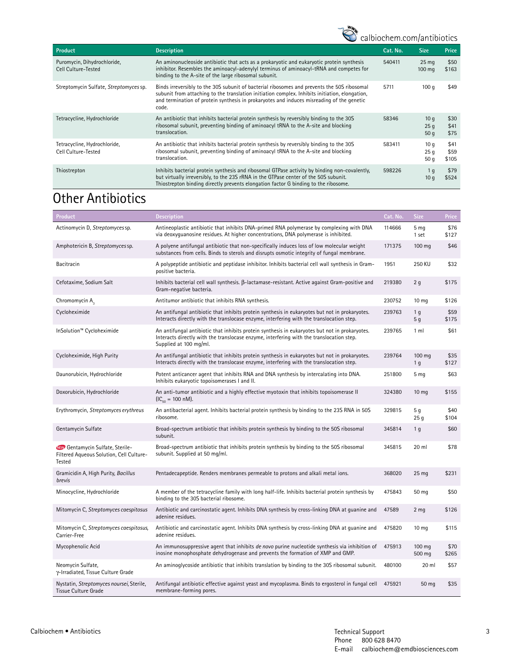### www.calbiochem.com/antibiotics

| <b>Product</b>                                      | <b>Description</b>                                                                                                                                                                                                                                                                                  | Cat. No. | <b>Size</b>                          | Price                 |
|-----------------------------------------------------|-----------------------------------------------------------------------------------------------------------------------------------------------------------------------------------------------------------------------------------------------------------------------------------------------------|----------|--------------------------------------|-----------------------|
| Puromycin, Dihydrochloride,<br>Cell Culture-Tested  | An aminonucleoside antibiotic that acts as a prokaryotic and eukaryotic protein synthesis<br>inhibitor. Resembles the aminoacyl-adenylyl terminus of aminoacyl-tRNA and competes for<br>binding to the A-site of the large ribosomal subunit.                                                       | 540411   | 25 <sub>mg</sub><br>$100 \text{ mg}$ | \$50<br>\$163         |
| Streptomycin Sulfate, Streptomyces sp.              | Binds irreversibly to the 30S subunit of bacterial ribosomes and prevents the 50S ribosomal<br>subunit from attaching to the translation initiation complex. Inhibits initiation, elongation,<br>and termination of protein synthesis in prokaryotes and induces misreading of the genetic<br>code. | 5711     | 100q                                 | \$49                  |
| Tetracycline, Hydrochloride                         | An antibiotic that inhibits bacterial protein synthesis by reversibly binding to the 30S<br>ribosomal subunit, preventing binding of aminoacyl tRNA to the A-site and blocking<br>translocation.                                                                                                    | 58346    | 10q<br>25q<br>50q                    | \$30<br>\$41<br>\$75  |
| Tetracycline, Hydrochloride,<br>Cell Culture-Tested | An antibiotic that inhibits bacterial protein synthesis by reversibly binding to the 30S<br>ribosomal subunit, preventing binding of aminoacyl tRNA to the A-site and blocking<br>translocation.                                                                                                    | 583411   | 10q<br>25q<br>50q                    | \$41<br>\$59<br>\$105 |
| Thiostrepton                                        | Inhibits bacterial protein synthesis and ribosomal GTPase activity by binding non-covalently,<br>but virtually irreversibly, to the 23S rRNA in the GTPase center of the 50S subunit.<br>Thiostrepton binding directly prevents elongation factor G binding to the ribosome.                        | 598226   | 1 g<br>10 q                          | \$79<br>\$524         |

#### **Other Antibiotics**

| Product                                                                                       | <b>Description</b>                                                                                                                                                                                                   | Cat. No. | <b>Size</b>              | Price         |
|-----------------------------------------------------------------------------------------------|----------------------------------------------------------------------------------------------------------------------------------------------------------------------------------------------------------------------|----------|--------------------------|---------------|
| Actinomycin D, Streptomyces sp.                                                               | Antineoplastic antibiotic that inhibits DNA-primed RNA polymerase by complexing with DNA<br>via deoxyquanosine residues. At higher concentrations, DNA polymerase is inhibited.                                      | 114666   | 5 <sub>mg</sub><br>1 set | \$76<br>\$127 |
| Amphotericin B, Streptomyces sp.                                                              | A polyene antifungal antibiotic that non-specifically induces loss of low molecular weight<br>substances from cells. Binds to sterols and disrupts osmotic integrity of fungal membrane.                             | 171375   | 100 mg                   | \$46          |
| Bacitracin                                                                                    | A polypeptide antibiotic and peptidase inhibitor. Inhibits bacterial cell wall synthesis in Gram-<br>positive bacteria.                                                                                              | 1951     | <b>250 KU</b>            | \$32          |
| Cefotaxime, Sodium Salt                                                                       | Inhibits bacterial cell wall synthesis. B-lactamase-resistant. Active against Gram-positive and<br>Gram-negative bacteria.                                                                                           | 219380   | 2 <sub>g</sub>           | \$175         |
| Chromomycin A <sub>2</sub>                                                                    | Antitumor antibiotic that inhibits RNA synthesis.                                                                                                                                                                    | 230752   | 10 <sub>mg</sub>         | \$126         |
| Cycloheximide                                                                                 | An antifungal antibiotic that inhibits protein synthesis in eukaryotes but not in prokaryotes.<br>Interacts directly with the translocase enzyme, interfering with the translocation step.                           | 239763   | 1 <sub>g</sub><br>5q     | \$59<br>\$175 |
| InSolution™ Cycloheximide                                                                     | An antifungal antibiotic that inhibits protein synthesis in eukaryotes but not in prokaryotes.<br>Interacts directly with the translocase enzyme, interfering with the translocation step.<br>Supplied at 100 mg/ml. | 239765   | 1 <sub>m</sub>           | \$61          |
| Cycloheximide, High Purity                                                                    | An antifungal antibiotic that inhibits protein synthesis in eukaryotes but not in prokaryotes.<br>Interacts directly with the translocase enzyme, interfering with the translocation step.                           | 239764   | 100 mg<br>1 <sub>q</sub> | \$35<br>\$127 |
| Daunorubicin, Hydrochloride                                                                   | Potent anticancer agent that inhibits RNA and DNA synthesis by intercalating into DNA.<br>Inhibits eukaryotic topoisomerases I and II.                                                                               | 251800   | 5 <sub>mg</sub>          | \$63          |
| Doxorubicin, Hydrochloride                                                                    | An anti-tumor antibiotic and a highly effective myotoxin that inhibits topoisomerase II<br>$~(IC_{\rm co} = 100~\rm nM).$                                                                                            | 324380   | 10 <sub>mg</sub>         | \$155         |
| Erythromycin, Streptomyces erythreus                                                          | An antibacterial agent. Inhibits bacterial protein synthesis by binding to the 23S RNA in 50S<br>ribosome.                                                                                                           | 329815   | 5 g<br>25 <sub>g</sub>   | \$40<br>\$104 |
| Gentamycin Sulfate                                                                            | Broad-spectrum antibiotic that inhibits protein synthesis by binding to the 50S ribosomal<br>subunit.                                                                                                                | 345814   | 1 <sub>q</sub>           | \$60          |
| <b>NEW</b> Gentamycin Sulfate, Sterile-<br>Filtered Aqueous Solution, Cell Culture-<br>Tested | Broad-spectrum antibiotic that inhibits protein synthesis by binding to the 50S ribosomal<br>subunit. Supplied at 50 mg/ml.                                                                                          | 345815   | 20 ml                    | \$78          |
| Gramicidin A, High Purity, Bacillus<br>brevis                                                 | Pentadecapeptide. Renders membranes permeable to protons and alkali metal ions.                                                                                                                                      | 368020   | 25 <sub>mg</sub>         | \$231         |
| Minocycline, Hydrochloride                                                                    | A member of the tetracycline family with long half-life. Inhibits bacterial protein synthesis by<br>binding to the 30S bacterial ribosome.                                                                           | 475843   | 50 mg                    | \$50          |
| Mitomycin C, Streptomyces caespitosus                                                         | Antibiotic and carcinostatic agent. Inhibits DNA synthesis by cross-linking DNA at quanine and<br>adenine residues.                                                                                                  | 47589    | 2 <sub>mg</sub>          | \$126         |
| Mitomycin C, Streptomyces caespitosus,<br>Carrier-Free                                        | Antibiotic and carcinostatic agent. Inhibits DNA synthesis by cross-linking DNA at quanine and<br>adenine residues.                                                                                                  | 475820   | 10 <sub>mg</sub>         | \$115         |
| Mycophenolic Acid                                                                             | An immunosuppressive agent that inhibits de novo purine nucleotide synthesis via inhibition of<br>inosine monophosphate dehydrogenase and prevents the formation of XMP and GMP.                                     | 475913   | 100 mg<br>500 mg         | \$70<br>\$265 |
| Neomycin Sulfate,<br>y-Irradiated, Tissue Culture Grade                                       | An aminoglycoside antibiotic that inhibits translation by binding to the 30S ribosomal subunit.                                                                                                                      | 480100   | 20 ml                    | \$57          |
| Nystatin, Streptomyces noursei, Sterile,<br><b>Tissue Culture Grade</b>                       | Antifungal antibiotic effective against yeast and mycoplasma. Binds to ergosterol in fungal cell<br>membrane-forming pores.                                                                                          | 475921   | 50 mg                    | \$35          |

 $\mathbf{3}$